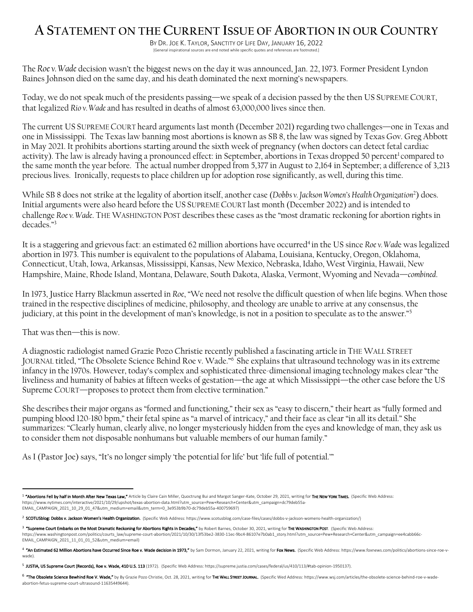## **A STATEMENT ON THE CURRENT ISSUE OF ABORTION IN OUR COUNTRY**

BY DR. JOE K. TAYLOR, SANCTITY OF LIFE DAY, JANUARY 16, 2022 [General inspirational sources are end noted while specific quotes and references are footnoted.]

The *Roe v. Wade* decision wasn't the biggest news on the day it was announced, Jan. 22, 1973. Former President Lyndon Baines Johnson died on the same day, and his death dominated the next morning's newspapers.

Today, we do not speak much of the presidents passing—we speak of a decision passed by the then US SUPREME COURT, that legalized *Rio v. Wade* and has resulted in deaths of almost 63,000,000 lives since then.

The current US SUPREME COURT heard arguments last month (December 2021) regarding two challenges—one in Texas and one in Mississippi. The Texas law banning most abortions is known as SB 8, the law was signed by Texas Gov. Greg Abbott in May 2021. It prohibits abortions starting around the sixth week of pregnancy (when doctors can detect fetal cardiac activity). The law is already having a pronounced effect: in September, abortions in Texas dropped 50 percent<sup>1</sup> compared to the same month the year before. The actual number dropped from 5,377 in August to 2,164 in September; a difference of 3,213 precious lives. Ironically, requests to place children up for adoption rose significantly, as well, during this time.

While SB 8 does not strike at the legality of abortion itself, another case (*Dobbs v. Jackson Women's Health Organization*<sup>2</sup> ) does. Initial arguments were also heard before the US SUPREME COURT last month (December 2022) and is intended to challenge *Roe v. Wade*. THE WASHINGTON POST describes these cases as the "most dramatic reckoning for abortion rights in decades."3

It is a staggering and grievous fact: an estimated 62 million abortions have occurred<sup>4</sup> in the US since *Roe* v. Wade was legalized abortion in 1973. This number is equivalent to the populations of Alabama, Louisiana, Kentucky, Oregon, Oklahoma, Connecticut, Utah, Iowa, Arkansas, Mississippi, Kansas, New Mexico, Nebraska, Idaho, West Virginia, Hawaii, New Hampshire, Maine, Rhode Island, Montana, Delaware, South Dakota, Alaska, Vermont, Wyoming and Nevada—*combined*.

In 1973, Justice Harry Blackmun asserted in *Roe*, "We need not resolve the difficult question of when life begins. When those trained in the respective disciplines of medicine, philosophy, and theology are unable to arrive at any consensus, the judiciary, at this point in the development of man's knowledge, is not in a position to speculate as to the answer."5

That was then—this is now.

A diagnostic radiologist named Grazie Pozo Christie recently published a fascinating article in THE WALL STREET JOURNAL titled, "The Obsolete Science Behind Roe v. Wade."6 She explains that ultrasound technology was in its extreme infancy in the 1970s. However, today's complex and sophisticated three-dimensional imaging technology makes clear "the liveliness and humanity of babies at fifteen weeks of gestation—the age at which Mississippi—the other case before the US Supreme COURT—proposes to protect them from elective termination."

She describes their major organs as "formed and functioning," their sex as "easy to discern," their heart as "fully formed and pumping blood 120-180 bpm," their fetal spine as "a marvel of intricacy," and their face as clear "in all its detail." She summarizes: "Clearly human, clearly alive, no longer mysteriously hidden from the eyes and knowledge of man, they ask us to consider them not disposable nonhumans but valuable members of our human family."

As I (Pastor Joe) says, "It's no longer simply 'the potential for life' but 'life full of potential.'"

<sup>&</sup>lt;sup>1</sup> "Abortions Fell by half in Month After New Texas Law," Article by Claire Cain Miller, Quoctrung Bui and Margot Sanger-Kate, October 29, 2021, writing for THE NEW YORK TIMES. (Specific Web Address: https://www.nytimes.com/interactive/2021/10/29/upshot/texas-abortion-data.html?utm\_source=Pew+Research+Center&utm\_campaign=dc79deb55a-EMAIL\_CAMPAIGN\_2021\_10\_29\_01\_47&utm\_medium=email&utm\_term=0\_3e953b9b70-dc79deb55a-400759697)

<sup>&</sup>lt;sup>2</sup> SCOTUSblog: Dobbs v. Jackson Women's Health Organization. (Specific Web Address: https://www.scotusblog.com/case-files/cases/dobbs-v-jackson-womens-health-organization/)

<sup>&</sup>lt;sup>3</sup> "Supreme Court Embarks on the Most Dramatic Reckoning for Abortions Rights in Decades," by Robert Barnes, October 30, 2021, writing for THE WASHINGTON POST. (Specific Web Address: https://www.washingtonpost.com/politics/courts\_law/supreme-court-abortion/2021/10/30/13f53be2-3830-11ec-9bc4-86107e7b0ab1\_story.html?utm\_source=Pew+Research+Center&utm\_campaign=ee4cabb66c-EMAIL\_CAMPAIGN\_2021\_11\_01\_01\_52&utm\_medium=email)

<sup>4 &</sup>quot;An Estimated 62 Million Abortions have Occurred Since Roe v. Wade decision in 1973," by Sam Dormon, January 22, 2021, writing for Fox News. (Specific Web Address: https://www.foxnews.com/politics/abortions-since-roe-vwade).

<sup>5</sup> JUSTIA, US Supreme Court (Records), Roe v. Wade, 410 U.S. 113 (1972). (Specific Web Address: https://supreme.justia.com/cases/federal/us/410/113/#tab-opinion-1950137).

<sup>6 &</sup>quot;The Obsolete Science Bewhind Roe V. Wade," by By Grazie Pozo Christie, Oct. 28, 2021, writing for THE WALL STREET JOURNAL. (Specific Wed Address: https://www.wsj.com/articles/the-obsolete-science-behind-roe-v-wadeabortion-fetus-supreme-court-ultrasound-11635449644).